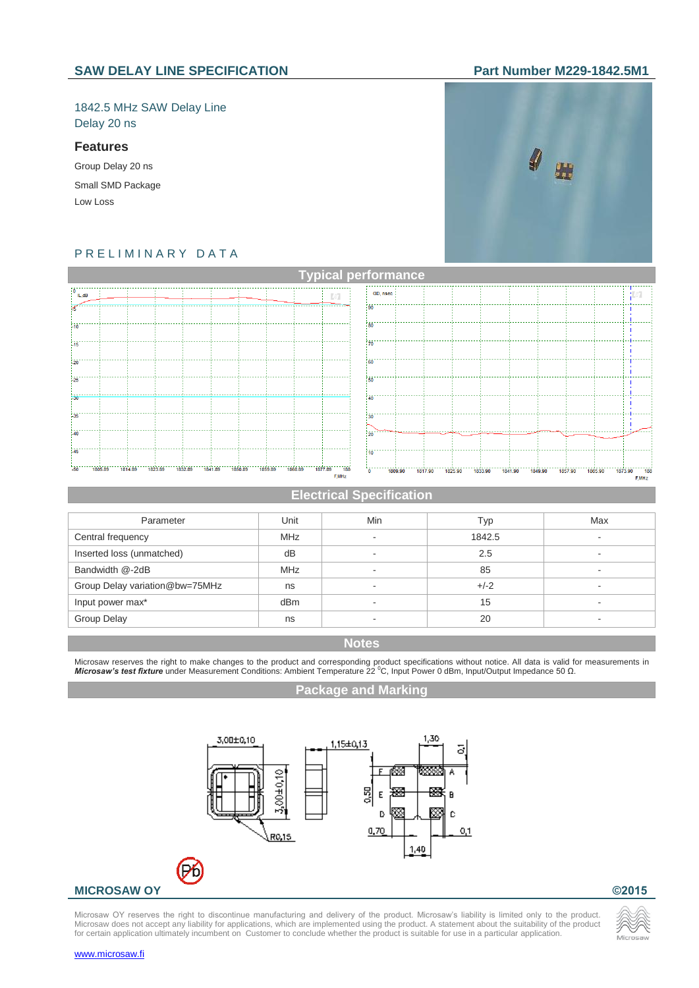## 1842.5 MHz SAW Delay Line Delay 20 ns

### **Features**

Group Delay 20 ns Small SMD Package Low Loss



# P R E L I M I N A R Y D A T A



### **Electrical Specification**

| Parameter                      | Unit       | Min                      | Typ    | Max                      |
|--------------------------------|------------|--------------------------|--------|--------------------------|
| Central frequency              | <b>MHz</b> | $\overline{\phantom{a}}$ | 1842.5 | $\overline{\phantom{a}}$ |
| Inserted loss (unmatched)      | dB         |                          | 2.5    |                          |
| Bandwidth @-2dB                | <b>MHz</b> | $\overline{\phantom{a}}$ | 85     | $\overline{\phantom{a}}$ |
| Group Delay variation@bw=75MHz | ns         | $\overline{\phantom{a}}$ | $+/-2$ | $\overline{\phantom{a}}$ |
| Input power max*               | dBm        | $\overline{\phantom{a}}$ | 15     | $\overline{\phantom{a}}$ |
| Group Delay                    | ns         |                          | 20     | $\overline{\phantom{a}}$ |

### **Notes**

Microsaw reserves the right to make changes to the product and corresponding product specifications without notice. All data is valid for measurements in<br>**Microsaw's test fixture** under Measurement Conditions: Ambient Tem

### **Package and Marking**



Microsaw OY reserves the right to discontinue manufacturing and delivery of the product. Microsaw's liability is limited only to the product. Microsaw does not accept any liability for applications, which are implemented using the product. A statement about the suitability of the product for certain application ultimately incumbent on Customer to conclude whether the product is suitable for use in a particular application.



[www.microsaw.fi](https://www.microsaw.fi/)